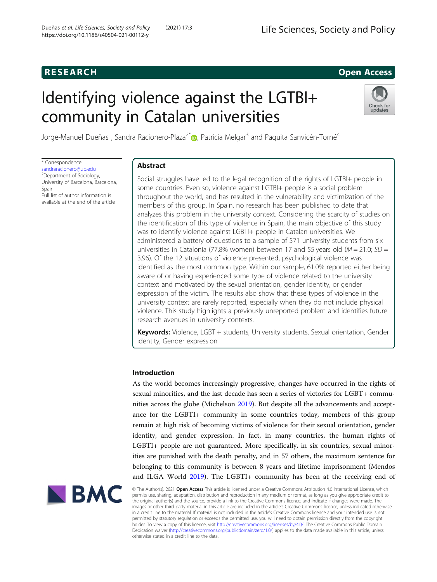# **RESEARCH RESEARCH CONSUMING ACCESS**

# Identifying violence against the LGTBI+ community in Catalan universities



Jorge-Manuel Dueñas<sup>1</sup>, Sandra Racionero-Plaza<sup>2[\\*](http://orcid.org/0000-0002-8347-5794)</sup>. , Patricia Melgar<sup>3</sup> and Paquita Sanvicén-Torné<sup>4</sup>

\* Correspondence: [sandraracionero@ub.edu](mailto:sandraracionero@ub.edu) <sup>2</sup>Department of Sociology, University of Barcelona, Barcelona, Spain Full list of author information is

available at the end of the article

# Abstract

Social struggles have led to the legal recognition of the rights of LGTBI+ people in some countries. Even so, violence against LGTBI+ people is a social problem throughout the world, and has resulted in the vulnerability and victimization of the members of this group. In Spain, no research has been published to date that analyzes this problem in the university context. Considering the scarcity of studies on the identification of this type of violence in Spain, the main objective of this study was to identify violence against LGBTI+ people in Catalan universities. We administered a battery of questions to a sample of 571 university students from six universities in Catalonia (77.8% women) between 17 and 55 years old ( $M = 21.0$ ; SD = 3.96). Of the 12 situations of violence presented, psychological violence was identified as the most common type. Within our sample, 61.0% reported either being aware of or having experienced some type of violence related to the university context and motivated by the sexual orientation, gender identity, or gender expression of the victim. The results also show that these types of violence in the university context are rarely reported, especially when they do not include physical violence. This study highlights a previously unreported problem and identifies future research avenues in university contexts.

Keywords: Violence, LGBTI+ students, University students, Sexual orientation, Gender identity, Gender expression

# Introduction

As the world becomes increasingly progressive, changes have occurred in the rights of sexual minorities, and the last decade has seen a series of victories for LGBT+ communities across the globe (Michelson [2019\)](#page-9-0). But despite all the advancements and acceptance for the LGBTI+ community in some countries today, members of this group remain at high risk of becoming victims of violence for their sexual orientation, gender identity, and gender expression. In fact, in many countries, the human rights of LGBTI+ people are not guaranteed. More specifically, in six countries, sexual minorities are punished with the death penalty, and in 57 others, the maximum sentence for belonging to this community is between 8 years and lifetime imprisonment (Mendos and ILGA World [2019](#page-9-0)). The LGBTI+ community has been at the receiving end of



© The Author(s). 2021 **Open Access** This article is licensed under a Creative Commons Attribution 4.0 International License, which permits use, sharing, adaptation, distribution and reproduction in any medium or format, as long as you give appropriate credit to the original author(s) and the source, provide a link to the Creative Commons licence, and indicate if changes were made. The images or other third party material in this article are included in the article's Creative Commons licence, unless indicated otherwise in a credit line to the material. If material is not included in the article's Creative Commons licence and your intended use is not permitted by statutory regulation or exceeds the permitted use, you will need to obtain permission directly from the copyright<br>holder. To view a copy of this licence, visit [http://creativecommons.org/licenses/by/4.0/.](http://creativecommons.org/licenses/by/4.0/) The Dedication waiver [\(http://creativecommons.org/publicdomain/zero/1.0/](http://creativecommons.org/publicdomain/zero/1.0/)) applies to the data made available in this article, unless otherwise stated in a credit line to the data.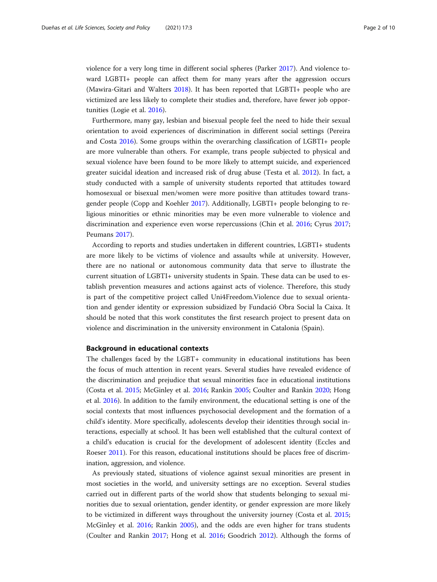violence for a very long time in different social spheres (Parker [2017](#page-9-0)). And violence toward LGBTI+ people can affect them for many years after the aggression occurs (Mawira-Gitari and Walters [2018\)](#page-9-0). It has been reported that LGBTI+ people who are victimized are less likely to complete their studies and, therefore, have fewer job opportunities (Logie et al. [2016\)](#page-9-0).

Furthermore, many gay, lesbian and bisexual people feel the need to hide their sexual orientation to avoid experiences of discrimination in different social settings (Pereira and Costa [2016](#page-9-0)). Some groups within the overarching classification of LGBTI+ people are more vulnerable than others. For example, trans people subjected to physical and sexual violence have been found to be more likely to attempt suicide, and experienced greater suicidal ideation and increased risk of drug abuse (Testa et al. [2012\)](#page-9-0). In fact, a study conducted with a sample of university students reported that attitudes toward homosexual or bisexual men/women were more positive than attitudes toward transgender people (Copp and Koehler [2017](#page-8-0)). Additionally, LGBTI+ people belonging to religious minorities or ethnic minorities may be even more vulnerable to violence and discrimination and experience even worse repercussions (Chin et al. [2016](#page-8-0); Cyrus [2017](#page-8-0); Peumans [2017](#page-9-0)).

According to reports and studies undertaken in different countries, LGBTI+ students are more likely to be victims of violence and assaults while at university. However, there are no national or autonomous community data that serve to illustrate the current situation of LGBTI+ university students in Spain. These data can be used to establish prevention measures and actions against acts of violence. Therefore, this study is part of the competitive project called Uni4Freedom.Violence due to sexual orientation and gender identity or expression subsidized by Fundació Obra Social la Caixa. It should be noted that this work constitutes the first research project to present data on violence and discrimination in the university environment in Catalonia (Spain).

# Background in educational contexts

The challenges faced by the LGBT+ community in educational institutions has been the focus of much attention in recent years. Several studies have revealed evidence of the discrimination and prejudice that sexual minorities face in educational institutions (Costa et al. [2015](#page-8-0); McGinley et al. [2016](#page-9-0); Rankin [2005](#page-9-0); Coulter and Rankin [2020](#page-8-0); Hong et al. [2016](#page-8-0)). In addition to the family environment, the educational setting is one of the social contexts that most influences psychosocial development and the formation of a child's identity. More specifically, adolescents develop their identities through social interactions, especially at school. It has been well established that the cultural context of a child's education is crucial for the development of adolescent identity (Eccles and Roeser [2011\)](#page-8-0). For this reason, educational institutions should be places free of discrimination, aggression, and violence.

As previously stated, situations of violence against sexual minorities are present in most societies in the world, and university settings are no exception. Several studies carried out in different parts of the world show that students belonging to sexual minorities due to sexual orientation, gender identity, or gender expression are more likely to be victimized in different ways throughout the university journey (Costa et al. [2015](#page-8-0); McGinley et al. [2016](#page-9-0); Rankin [2005\)](#page-9-0), and the odds are even higher for trans students (Coulter and Rankin [2017](#page-8-0); Hong et al. [2016;](#page-8-0) Goodrich [2012](#page-8-0)). Although the forms of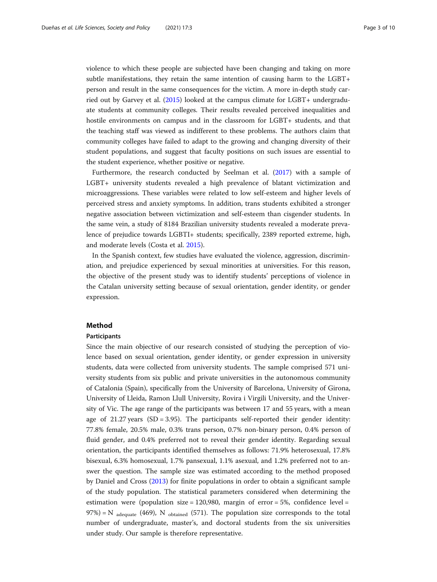violence to which these people are subjected have been changing and taking on more subtle manifestations, they retain the same intention of causing harm to the LGBT+ person and result in the same consequences for the victim. A more in-depth study carried out by Garvey et al. [\(2015](#page-8-0)) looked at the campus climate for LGBT+ undergraduate students at community colleges. Their results revealed perceived inequalities and hostile environments on campus and in the classroom for LGBT+ students, and that the teaching staff was viewed as indifferent to these problems. The authors claim that community colleges have failed to adapt to the growing and changing diversity of their student populations, and suggest that faculty positions on such issues are essential to the student experience, whether positive or negative.

Furthermore, the research conducted by Seelman et al. [\(2017\)](#page-9-0) with a sample of LGBT+ university students revealed a high prevalence of blatant victimization and microaggressions. These variables were related to low self-esteem and higher levels of perceived stress and anxiety symptoms. In addition, trans students exhibited a stronger negative association between victimization and self-esteem than cisgender students. In the same vein, a study of 8184 Brazilian university students revealed a moderate prevalence of prejudice towards LGBTI+ students; specifically, 2389 reported extreme, high, and moderate levels (Costa et al. [2015\)](#page-8-0).

In the Spanish context, few studies have evaluated the violence, aggression, discrimination, and prejudice experienced by sexual minorities at universities. For this reason, the objective of the present study was to identify students' perceptions of violence in the Catalan university setting because of sexual orientation, gender identity, or gender expression.

# Method

# Participants

Since the main objective of our research consisted of studying the perception of violence based on sexual orientation, gender identity, or gender expression in university students, data were collected from university students. The sample comprised 571 university students from six public and private universities in the autonomous community of Catalonia (Spain), specifically from the University of Barcelona, University of Girona, University of Lleida, Ramon Llull University, Rovira i Virgili University, and the University of Vic. The age range of the participants was between 17 and 55 years, with a mean age of  $21.27$  years (SD = 3.95). The participants self-reported their gender identity: 77.8% female, 20.5% male, 0.3% trans person, 0.7% non-binary person, 0.4% person of fluid gender, and 0.4% preferred not to reveal their gender identity. Regarding sexual orientation, the participants identified themselves as follows: 71.9% heterosexual, 17.8% bisexual, 6.3% homosexual, 1.7% pansexual, 1.1% asexual, and 1.2% preferred not to answer the question. The sample size was estimated according to the method proposed by Daniel and Cross [\(2013](#page-8-0)) for finite populations in order to obtain a significant sample of the study population. The statistical parameters considered when determining the estimation were (population size = 120,980, margin of error = 5%, confidence level = 97%) = N  $_{\text{adequate}}$  (469), N  $_{\text{obtained}}$  (571). The population size corresponds to the total number of undergraduate, master's, and doctoral students from the six universities under study. Our sample is therefore representative.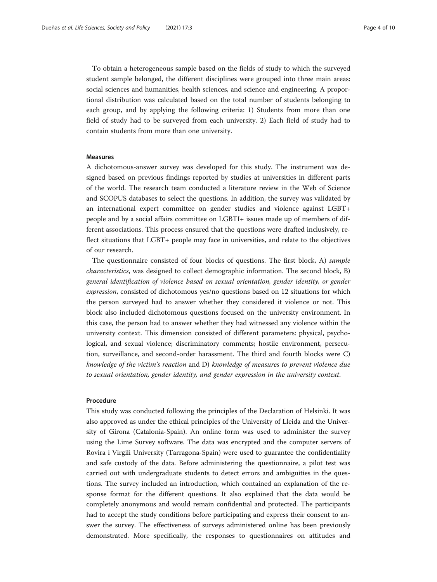To obtain a heterogeneous sample based on the fields of study to which the surveyed student sample belonged, the different disciplines were grouped into three main areas: social sciences and humanities, health sciences, and science and engineering. A proportional distribution was calculated based on the total number of students belonging to each group, and by applying the following criteria: 1) Students from more than one field of study had to be surveyed from each university. 2) Each field of study had to contain students from more than one university.

# Measures

A dichotomous-answer survey was developed for this study. The instrument was designed based on previous findings reported by studies at universities in different parts of the world. The research team conducted a literature review in the Web of Science and SCOPUS databases to select the questions. In addition, the survey was validated by an international expert committee on gender studies and violence against LGBT+ people and by a social affairs committee on LGBTI+ issues made up of members of different associations. This process ensured that the questions were drafted inclusively, reflect situations that LGBT+ people may face in universities, and relate to the objectives of our research.

The questionnaire consisted of four blocks of questions. The first block, A) sample characteristics, was designed to collect demographic information. The second block, B) general identification of violence based on sexual orientation, gender identity, or gender expression, consisted of dichotomous yes/no questions based on 12 situations for which the person surveyed had to answer whether they considered it violence or not. This block also included dichotomous questions focused on the university environment. In this case, the person had to answer whether they had witnessed any violence within the university context. This dimension consisted of different parameters: physical, psychological, and sexual violence; discriminatory comments; hostile environment, persecution, surveillance, and second-order harassment. The third and fourth blocks were C) knowledge of the victim's reaction and D) knowledge of measures to prevent violence due to sexual orientation, gender identity, and gender expression in the university context.

# Procedure

This study was conducted following the principles of the Declaration of Helsinki. It was also approved as under the ethical principles of the University of Lleida and the University of Girona (Catalonia-Spain). An online form was used to administer the survey using the Lime Survey software. The data was encrypted and the computer servers of Rovira i Virgili University (Tarragona-Spain) were used to guarantee the confidentiality and safe custody of the data. Before administering the questionnaire, a pilot test was carried out with undergraduate students to detect errors and ambiguities in the questions. The survey included an introduction, which contained an explanation of the response format for the different questions. It also explained that the data would be completely anonymous and would remain confidential and protected. The participants had to accept the study conditions before participating and express their consent to answer the survey. The effectiveness of surveys administered online has been previously demonstrated. More specifically, the responses to questionnaires on attitudes and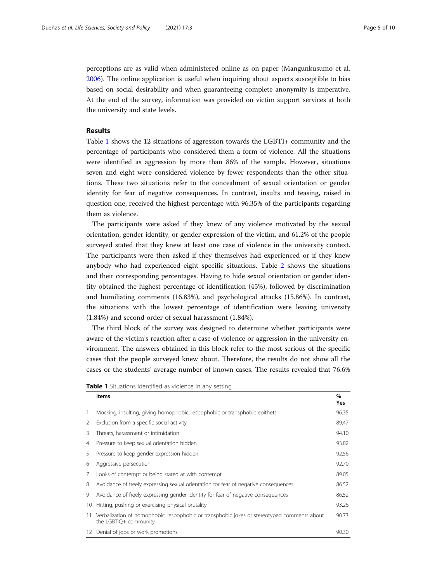perceptions are as valid when administered online as on paper (Mangunkusumo et al. [2006](#page-9-0)). The online application is useful when inquiring about aspects susceptible to bias based on social desirability and when guaranteeing complete anonymity is imperative. At the end of the survey, information was provided on victim support services at both the university and state levels.

# Results

Table 1 shows the 12 situations of aggression towards the LGBTI+ community and the percentage of participants who considered them a form of violence. All the situations were identified as aggression by more than 86% of the sample. However, situations seven and eight were considered violence by fewer respondents than the other situations. These two situations refer to the concealment of sexual orientation or gender identity for fear of negative consequences. In contrast, insults and teasing, raised in question one, received the highest percentage with 96.35% of the participants regarding them as violence.

The participants were asked if they knew of any violence motivated by the sexual orientation, gender identity, or gender expression of the victim, and 61.2% of the people surveyed stated that they knew at least one case of violence in the university context. The participants were then asked if they themselves had experienced or if they knew anybody who had experienced eight specific situations. Table [2](#page-5-0) shows the situations and their corresponding percentages. Having to hide sexual orientation or gender identity obtained the highest percentage of identification (45%), followed by discrimination and humiliating comments (16.83%), and psychological attacks (15.86%). In contrast, the situations with the lowest percentage of identification were leaving university (1.84%) and second order of sexual harassment (1.84%).

The third block of the survey was designed to determine whether participants were aware of the victim's reaction after a case of violence or aggression in the university environment. The answers obtained in this block refer to the most serious of the specific cases that the people surveyed knew about. Therefore, the results do not show all the cases or the students' average number of known cases. The results revealed that 76.6%

|    | <b>Items</b>                                                                                                         | $\%$<br>Yes |
|----|----------------------------------------------------------------------------------------------------------------------|-------------|
| 1  | Mocking, insulting, giving homophobic, lesbophobic or transphobic epithets                                           | 96.35       |
| 2  | Exclusion from a specific social activity                                                                            | 89.47       |
| 3  | Threats, harassment or intimidation                                                                                  | 94.10       |
| 4  | Pressure to keep sexual orientation hidden                                                                           | 93.82       |
| 5  | Pressure to keep gender expression hidden                                                                            | 92.56       |
| 6  | Aggressive persecution                                                                                               | 92.70       |
| 7  | Looks of contempt or being stared at with contempt                                                                   | 89.05       |
| 8  | Avoidance of freely expressing sexual orientation for fear of negative consequences                                  | 86.52       |
| 9  | Avoidance of freely expressing gender identity for fear of negative consequences                                     | 86.52       |
| 10 | Hitting, pushing or exercising physical brutality                                                                    | 93.26       |
| 11 | Verbalization of homophobic, lesbophobic or transphobic jokes or stereotyped comments about<br>the LGBTIQ+ community | 90.73       |
| 12 | Denial of jobs or work promotions                                                                                    | 90.30       |

Table 1 Situations identified as violence in any setting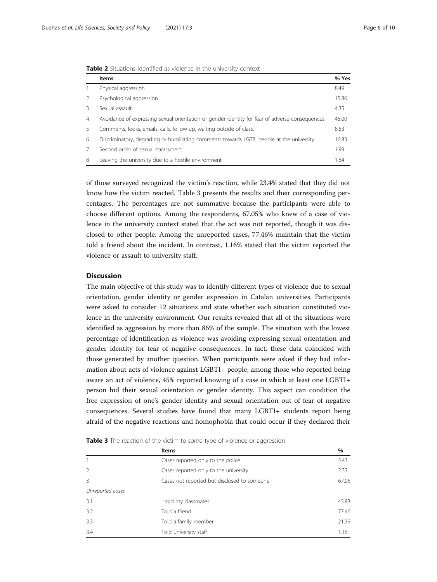<span id="page-5-0"></span>

|  |  | <b>Table 2</b> Situations identified as violence in the university context |  |  |  |  |  |  |
|--|--|----------------------------------------------------------------------------|--|--|--|--|--|--|
|--|--|----------------------------------------------------------------------------|--|--|--|--|--|--|

|                | <b>Items</b>                                                                                   | % Yes |
|----------------|------------------------------------------------------------------------------------------------|-------|
|                | Physical aggression                                                                            | 8.49  |
|                | Psychological aggression                                                                       | 15.86 |
|                | Sexual assault                                                                                 | 4.35  |
| $\overline{4}$ | Avoidance of expressing sexual orientation or gender identity for fear of adverse consequences | 45.00 |
| 5              | Comments, looks, emails, calls, follow-up, waiting outside of class.                           | 8.83  |
| 6              | Discriminatory, degrading or humiliating comments towards LGTBI people at the university       | 16.83 |
|                | Second order of sexual harassment                                                              | 1.99  |
| 8              | Leaving the university due to a hostile environment                                            | 1.84  |

of those surveyed recognized the victim's reaction, while 23.4% stated that they did not know how the victim reacted. Table 3 presents the results and their corresponding percentages. The percentages are not summative because the participants were able to choose different options. Among the respondents, 67.05% who knew of a case of violence in the university context stated that the act was not reported, though it was disclosed to other people. Among the unreported cases, 77.46% maintain that the victim told a friend about the incident. In contrast, 1.16% stated that the victim reported the violence or assault to university staff.

# **Discussion**

The main objective of this study was to identify different types of violence due to sexual orientation, gender identity or gender expression in Catalan universities. Participants were asked to consider 12 situations and state whether each situation constituted violence in the university environment. Our results revealed that all of the situations were identified as aggression by more than 86% of the sample. The situation with the lowest percentage of identification as violence was avoiding expressing sexual orientation and gender identity for fear of negative consequences. In fact, these data coincided with those generated by another question. When participants were asked if they had information about acts of violence against LGBTI+ people, among those who reported being aware an act of violence, 45% reported knowing of a case in which at least one LGBTI+ person hid their sexual orientation or gender identity. This aspect can condition the free expression of one's gender identity and sexual orientation out of fear of negative consequences. Several studies have found that many LGBTI+ students report being afraid of the negative reactions and homophobia that could occur if they declared their

| Table 3 The reaction of the victim to some type of violence or aggression |  |  |
|---------------------------------------------------------------------------|--|--|
|---------------------------------------------------------------------------|--|--|

|                  | <b>Items</b>                                | %     |
|------------------|---------------------------------------------|-------|
|                  | Cases reported only to the police           | 5.43  |
| $\mathcal{P}$    | Cases reported only to the university       | 2.33  |
| 3                | Cases not reported but disclosed to someone | 67.05 |
| Unreported cases |                                             |       |
| 3.1              | I told my classmates                        | 43.93 |
| 3.2              | Told a friend                               | 77.46 |
| 3.3              | Told a family member                        | 21.39 |
| 3.4              | Told university staff                       | 1.16  |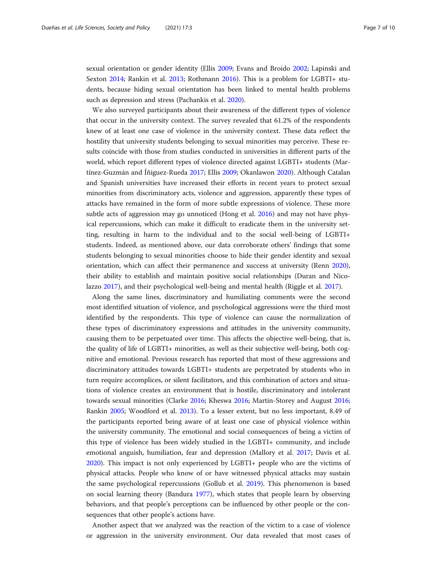sexual orientation or gender identity (Ellis [2009;](#page-8-0) Evans and Broido [2002;](#page-8-0) Lapinski and Sexton [2014;](#page-9-0) Rankin et al. [2013](#page-9-0); Rothmann [2016](#page-9-0)). This is a problem for LGBTI+ students, because hiding sexual orientation has been linked to mental health problems such as depression and stress (Pachankis et al. [2020](#page-9-0)).

We also surveyed participants about their awareness of the different types of violence that occur in the university context. The survey revealed that 61.2% of the respondents knew of at least one case of violence in the university context. These data reflect the hostility that university students belonging to sexual minorities may perceive. These results coincide with those from studies conducted in universities in different parts of the world, which report different types of violence directed against LGBTI+ students (Martínez-Guzmán and Íñiguez-Rueda [2017](#page-9-0); Ellis [2009;](#page-8-0) Okanlawon [2020](#page-9-0)). Although Catalan and Spanish universities have increased their efforts in recent years to protect sexual minorities from discriminatory acts, violence and aggression, apparently these types of attacks have remained in the form of more subtle expressions of violence. These more subtle acts of aggression may go unnoticed (Hong et al. [2016](#page-8-0)) and may not have physical repercussions, which can make it difficult to eradicate them in the university setting, resulting in harm to the individual and to the social well-being of LGBTI+ students. Indeed, as mentioned above, our data corroborate others' findings that some students belonging to sexual minorities choose to hide their gender identity and sexual orientation, which can affect their permanence and success at university (Renn [2020](#page-9-0)), their ability to establish and maintain positive social relationships (Duran and Nicolazzo [2017\)](#page-8-0), and their psychological well-being and mental health (Riggle et al. [2017](#page-9-0)).

Along the same lines, discriminatory and humiliating comments were the second most identified situation of violence, and psychological aggressions were the third most identified by the respondents. This type of violence can cause the normalization of these types of discriminatory expressions and attitudes in the university community, causing them to be perpetuated over time. This affects the objective well-being, that is, the quality of life of LGBTI+ minorities, as well as their subjective well-being, both cognitive and emotional. Previous research has reported that most of these aggressions and discriminatory attitudes towards LGBTI+ students are perpetrated by students who in turn require accomplices, or silent facilitators, and this combination of actors and situations of violence creates an environment that is hostile, discriminatory and intolerant towards sexual minorities (Clarke [2016;](#page-8-0) Kheswa [2016;](#page-8-0) Martin-Storey and August [2016](#page-9-0); Rankin [2005;](#page-9-0) Woodford et al. [2013](#page-9-0)). To a lesser extent, but no less important, 8.49 of the participants reported being aware of at least one case of physical violence within the university community. The emotional and social consequences of being a victim of this type of violence has been widely studied in the LGBTI+ community, and include emotional anguish, humiliation, fear and depression (Mallory et al. [2017](#page-9-0); Davis et al. [2020](#page-8-0)). This impact is not only experienced by LGBTI+ people who are the victims of physical attacks. People who know of or have witnessed physical attacks may sustain the same psychological repercussions (Gollub et al. [2019\)](#page-8-0). This phenomenon is based on social learning theory (Bandura [1977](#page-8-0)), which states that people learn by observing behaviors, and that people's perceptions can be influenced by other people or the consequences that other people's actions have.

Another aspect that we analyzed was the reaction of the victim to a case of violence or aggression in the university environment. Our data revealed that most cases of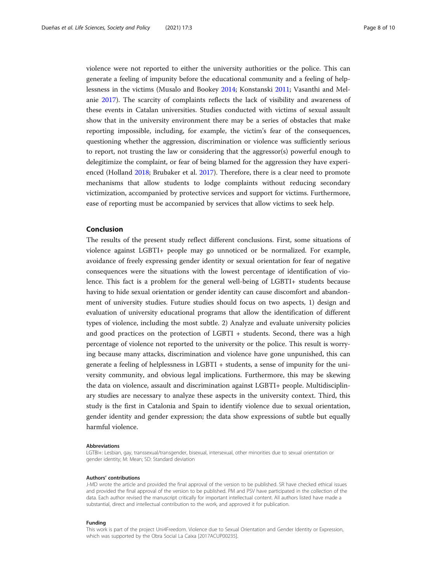violence were not reported to either the university authorities or the police. This can generate a feeling of impunity before the educational community and a feeling of helplessness in the victims (Musalo and Bookey [2014](#page-9-0); Konstanski [2011;](#page-9-0) Vasanthi and Melanie [2017](#page-9-0)). The scarcity of complaints reflects the lack of visibility and awareness of these events in Catalan universities. Studies conducted with victims of sexual assault show that in the university environment there may be a series of obstacles that make reporting impossible, including, for example, the victim's fear of the consequences, questioning whether the aggression, discrimination or violence was sufficiently serious to report, not trusting the law or considering that the aggressor(s) powerful enough to delegitimize the complaint, or fear of being blamed for the aggression they have experienced (Holland [2018](#page-8-0); Brubaker et al. [2017](#page-8-0)). Therefore, there is a clear need to promote mechanisms that allow students to lodge complaints without reducing secondary victimization, accompanied by protective services and support for victims. Furthermore, ease of reporting must be accompanied by services that allow victims to seek help.

# Conclusion

The results of the present study reflect different conclusions. First, some situations of violence against LGBTI+ people may go unnoticed or be normalized. For example, avoidance of freely expressing gender identity or sexual orientation for fear of negative consequences were the situations with the lowest percentage of identification of violence. This fact is a problem for the general well-being of LGBTI+ students because having to hide sexual orientation or gender identity can cause discomfort and abandonment of university studies. Future studies should focus on two aspects, 1) design and evaluation of university educational programs that allow the identification of different types of violence, including the most subtle. 2) Analyze and evaluate university policies and good practices on the protection of LGBTI + students. Second, there was a high percentage of violence not reported to the university or the police. This result is worrying because many attacks, discrimination and violence have gone unpunished, this can generate a feeling of helplessness in LGBTI + students, a sense of impunity for the university community, and obvious legal implications. Furthermore, this may be skewing the data on violence, assault and discrimination against LGBTI+ people. Multidisciplinary studies are necessary to analyze these aspects in the university context. Third, this study is the first in Catalonia and Spain to identify violence due to sexual orientation, gender identity and gender expression; the data show expressions of subtle but equally harmful violence.

#### Abbreviations

LGTBI+: Lesbian, gay, transsexual/transgender, bisexual, intersexual, other minorities due to sexual orientation or gender identity; M: Mean; SD: Standard deviation

#### Authors' contributions

J-MD wrote the article and provided the final approval of the version to be published. SR have checked ethical issues and provided the final approval of the version to be published. PM and PSV have participated in the collection of the data. Each author revised the manuscript critically for important intellectual content. All authors listed have made a substantial, direct and intellectual contribution to the work, and approved it for publication.

#### Funding

This work is part of the project Uni4Freedom. Violence due to Sexual Orientation and Gender Identity or Expression, which was supported by the Obra Social La Caixa [2017ACUP00235].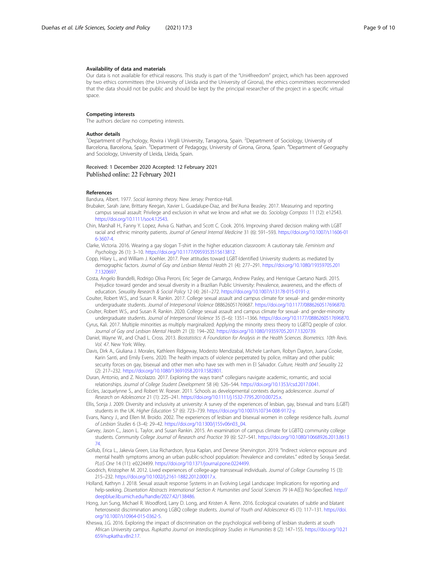#### <span id="page-8-0"></span>Availability of data and materials

Our data is not available for ethical reasons. This study is part of the "Uni4freedom" project, which has been approved by two ethics committees (the University of Lleida and the University of Girona), the ethics committees recommended that the data should not be public and should be kept by the principal researcher of the project in a specific virtual space.

# Competing interests

The authors declare no competing interests.

### Author details

<sup>1</sup>Department of Psychology, Rovira i Virgili University, Tarragona, Spain. <sup>2</sup>Department of Sociology, University of Barcelona, Barcelona, Spain. <sup>3</sup>Department of Pedagogy, University of Girona, Girona, Spain. <sup>4</sup>Department of Geography and Sociology, University of Lleida, Lleida, Spain.

Received: 1 December 2020 Accepted: 12 February 2021 Published online: 22 February 2021

# References

Bandura, Albert. 1977. Social learning theory. New Jersey: Prentice-Hall.

- Brubaker, Sarah Jane, Brittany Keegan, Xavier L. Guadalupe-Diaz, and Bre'Auna Beasley. 2017. Measuring and reporting campus sexual assault: Privilege and exclusion in what we know and what we do. Sociology Compass 11 (12): e12543. <https://doi.org/10.1111/soc4.12543>.
- Chin, Marshall H., Fanny Y. Lopez, Aviva G. Nathan, and Scott C. Cook. 2016. Improving shared decision making with LGBT racial and ethnic minority patients. Journal of General Internal Medicine 31 (6): 591–593. [https://doi.org/10.1007/s11606-01](https://doi.org/10.1007/s11606-016-3607-4) [6-3607-4](https://doi.org/10.1007/s11606-016-3607-4).

Clarke, Victoria. 2016. Wearing a gay slogan T-shirt in the higher education classroom: A cautionary tale. Feminism and Psychology 26 (1): 3–10. <https://doi.org/10.1177/0959353515613812>.

- Copp, Hilary L., and William J. Koehler. 2017. Peer attitudes toward LGBT-Identified University students as mediated by demographic factors. Journal of Gay and Lesbian Mental Health 21 (4): 277–291. [https://doi.org/10.1080/19359705.201](https://doi.org/10.1080/19359705.2017.1320697) [7.1320697](https://doi.org/10.1080/19359705.2017.1320697).
- Costa, Angelo Brandelli, Rodrigo Oliva Peroni, Eric Seger de Camargo, Andrew Pasley, and Henrique Caetano Nardi. 2015. Prejudice toward gender and sexual diversity in a Brazilian Public University: Prevalence, awareness, and the effects of education. Sexuality Research & Social Policy 12 (4): 261–272. [https://doi.org/10.1007/s13178-015-0191-z.](https://doi.org/10.1007/s13178-015-0191-z)
- Coulter, Robert W.S., and Susan R. Rankin. 2017. College sexual assault and campus climate for sexual- and gender-minority undergraduate students. Journal of Interpersonal Violence 088626051769687. [https://doi.org/10.1177/0886260517696870.](https://doi.org/10.1177/0886260517696870)
- Coulter, Robert W.S., and Susan R. Rankin. 2020. College sexual assault and campus climate for sexual- and gender-minority undergraduate students. Journal of Interpersonal Violence 35 (5–6): 1351–1366. [https://doi.org/10.1177/0886260517696870.](https://doi.org/10.1177/0886260517696870)
- Cyrus, Kali. 2017. Multiple minorities as multiply marginalized: Applying the minority stress theory to LGBTQ people of color. Journal of Gay and Lesbian Mental Health 21 (3): 194–202. [https://doi.org/10.1080/19359705.2017.1320739.](https://doi.org/10.1080/19359705.2017.1320739)
- Daniel, Wayne W., and Chad L. Cross. 2013. Biostatistics: A Foundation for Analysis in the Health Sciences. Biometrics. 10th Revis. Vol. 47. New York: Wiley.
- Davis, Dirk A., Giuliana J. Morales, Kathleen Ridgeway, Modesto Mendizabal, Michele Lanham, Robyn Dayton, Juana Cooke, Karin Santi, and Emily Evens. 2020. The health impacts of violence perpetrated by police, military and other public security forces on gay, bisexual and other men who have sex with men in El Salvador. Culture, Health and Sexuality 22 (2): 217–232. [https://doi.org/10.1080/13691058.2019.1582801.](https://doi.org/10.1080/13691058.2019.1582801)
- Duran, Antonio, and Z. Nicolazzo. 2017. Exploring the ways trans\* collegians navigate academic, romantic, and social relationships. Journal of College Student Development 58 (4): 526–544. [https://doi.org/10.1353/csd.2017.0041.](https://doi.org/10.1353/csd.2017.0041)
- Eccles, Jacquelynne S., and Robert W. Roeser. 2011. Schools as developmental contexts during adolescence. Journal of Research on Adolescence 21 (1): 225–241. [https://doi.org/10.1111/j.1532-7795.2010.00725.x.](https://doi.org/10.1111/j.1532-7795.2010.00725.x)
- Ellis, Sonja J. 2009. Diversity and inclusivity at university: A survey of the experiences of lesbian, gay, bisexual and trans (LGBT) students in the UK. Higher Education 57 (6): 723–739. [https://doi.org/10.1007/s10734-008-9172-y.](https://doi.org/10.1007/s10734-008-9172-y)
- Evans, Nancy J., and Ellen M. Broido. 2002. The experiences of lesbian and bisexual women in college residence halls. Journal of Lesbian Studies 6 (3–4): 29–42. [https://doi.org/10.1300/j155v06n03\\_04](https://doi.org/10.1300/j155v06n03_04).
- Garvey, Jason C., Jason L. Taylor, and Susan Rankin. 2015. An examination of campus climate for LGBTQ community college students. Community College Journal of Research and Practice 39 (6): 527–541. [https://doi.org/10.1080/10668926.2013.8613](https://doi.org/10.1080/10668926.2013.861374) [74](https://doi.org/10.1080/10668926.2013.861374).
- Gollub, Erica L., Jakevia Green, Lisa Richardson, Ilyssa Kaplan, and Denese Shervington. 2019. "Indirect violence exposure and mental health symptoms among an urban public-school population: Prevalence and correlates." edited by Soraya Seedat. PLoS One 14 (11): e0224499. <https://doi.org/10.1371/journal.pone.0224499>.
- Goodrich, Kristopher M. 2012. Lived experiences of college-age transsexual individuals. Journal of College Counseling 15 (3): 215–232. [https://doi.org/10.1002/j.2161-1882.2012.00017.x.](https://doi.org/10.1002/j.2161-1882.2012.00017.x)
- Holland, Kathryn J. 2018. Sexual assault response Systems in an Evolving Legal Landscape: Implications for reporting and help-seeking. Dissertation Abstracts International Section A: Humanities and Social Sciences 79 (4-A(E)) No-Specified. [http://](http://deepblue.lib.umich.edu/handle/2027.42/138486) [deepblue.lib.umich.edu/handle/2027.42/138486.](http://deepblue.lib.umich.edu/handle/2027.42/138486)
- Hong, Jun Sung, Michael R. Woodford, Larry D. Long, and Kristen A. Renn. 2016. Ecological covariates of subtle and blatant heterosexist discrimination among LGBQ college students. Journal of Youth and Adolescence 45 (1): 117–131. [https://doi.](https://doi.org/10.1007/s10964-015-0362-5) [org/10.1007/s10964-015-0362-5](https://doi.org/10.1007/s10964-015-0362-5).
- Kheswa, J.G. 2016. Exploring the impact of discrimination on the psychological well-being of lesbian students at south African University campus. Rupkatha Journal on Interdisciplinary Studies in Humanities 8 (2): 147–155. [https://doi.org/10.21](https://doi.org/10.21659/rupkatha.v8n2.17) [659/rupkatha.v8n2.17](https://doi.org/10.21659/rupkatha.v8n2.17).